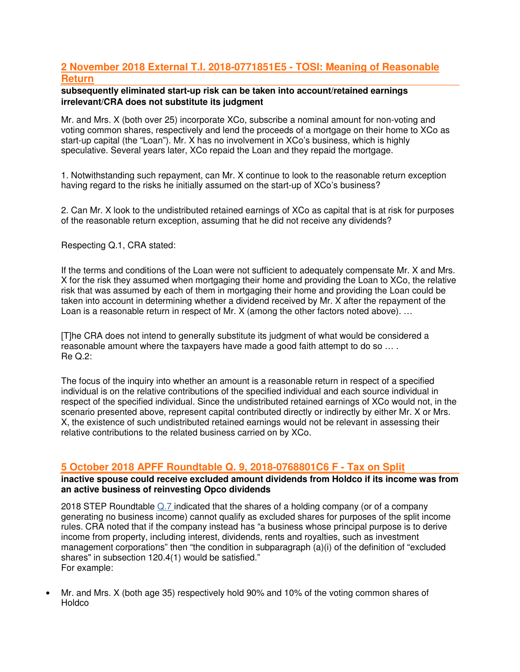# **2 November 2018 External T.I. 2018-0771851E5 - TOSI: Meaning of Reasonable Return**

### **subsequently eliminated start-up risk can be taken into account/retained earnings irrelevant/CRA does not substitute its judgment**

Mr. and Mrs. X (both over 25) incorporate XCo, subscribe a nominal amount for non-voting and voting common shares, respectively and lend the proceeds of a mortgage on their home to XCo as start-up capital (the "Loan"). Mr. X has no involvement in XCo's business, which is highly speculative. Several years later, XCo repaid the Loan and they repaid the mortgage.

1. Notwithstanding such repayment, can Mr. X continue to look to the reasonable return exception having regard to the risks he initially assumed on the start-up of XCo's business?

2. Can Mr. X look to the undistributed retained earnings of XCo as capital that is at risk for purposes of the reasonable return exception, assuming that he did not receive any dividends?

Respecting Q.1, CRA stated:

If the terms and conditions of the Loan were not sufficient to adequately compensate Mr. X and Mrs. X for the risk they assumed when mortgaging their home and providing the Loan to XCo, the relative risk that was assumed by each of them in mortgaging their home and providing the Loan could be taken into account in determining whether a dividend received by Mr. X after the repayment of the Loan is a reasonable return in respect of Mr. X (among the other factors noted above). ...

[T]he CRA does not intend to generally substitute its judgment of what would be considered a reasonable amount where the taxpayers have made a good faith attempt to do so … . Re Q.2:

The focus of the inquiry into whether an amount is a reasonable return in respect of a specified individual is on the relative contributions of the specified individual and each source individual in respect of the specified individual. Since the undistributed retained earnings of XCo would not, in the scenario presented above, represent capital contributed directly or indirectly by either Mr. X or Mrs. X, the existence of such undistributed retained earnings would not be relevant in assessing their relative contributions to the related business carried on by XCo.

# **5 October 2018 APFF Roundtable Q. 9, 2018-0768801C6 F - Tax on Split**

**inactive spouse could receive excluded amount dividends from Holdco if its income was from an active business of reinvesting Opco dividends** 

2018 STEP Roundtable Q.7 indicated that the shares of a holding company (or of a company generating no business income) cannot qualify as excluded shares for purposes of the split income rules. CRA noted that if the company instead has "a business whose principal purpose is to derive income from property, including interest, dividends, rents and royalties, such as investment management corporations" then "the condition in subparagraph (a)(i) of the definition of "excluded shares" in subsection 120.4(1) would be satisfied." For example:

• Mr. and Mrs. X (both age 35) respectively hold 90% and 10% of the voting common shares of **Holdco**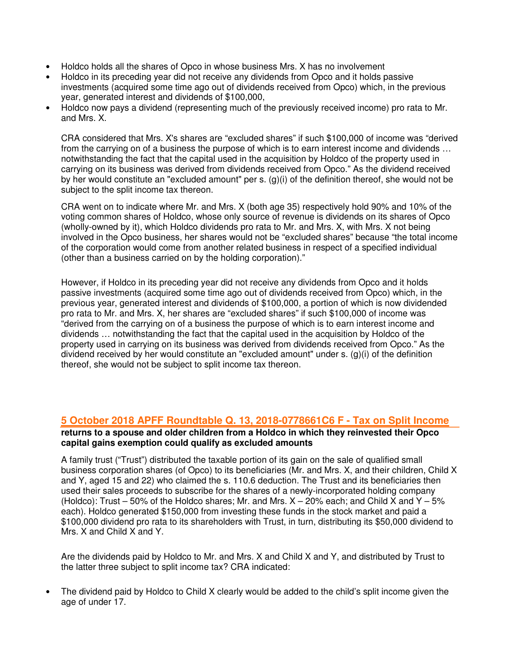- Holdco holds all the shares of Opco in whose business Mrs. X has no involvement
- Holdco in its preceding year did not receive any dividends from Opco and it holds passive investments (acquired some time ago out of dividends received from Opco) which, in the previous year, generated interest and dividends of \$100,000,
- Holdco now pays a dividend (representing much of the previously received income) pro rata to Mr. and Mrs. X.

CRA considered that Mrs. X's shares are "excluded shares" if such \$100,000 of income was "derived from the carrying on of a business the purpose of which is to earn interest income and dividends … notwithstanding the fact that the capital used in the acquisition by Holdco of the property used in carrying on its business was derived from dividends received from Opco." As the dividend received by her would constitute an "excluded amount" per s. (g)(i) of the definition thereof, she would not be subject to the split income tax thereon.

CRA went on to indicate where Mr. and Mrs. X (both age 35) respectively hold 90% and 10% of the voting common shares of Holdco, whose only source of revenue is dividends on its shares of Opco (wholly-owned by it), which Holdco dividends pro rata to Mr. and Mrs. X, with Mrs. X not being involved in the Opco business, her shares would not be "excluded shares" because "the total income of the corporation would come from another related business in respect of a specified individual (other than a business carried on by the holding corporation)."

However, if Holdco in its preceding year did not receive any dividends from Opco and it holds passive investments (acquired some time ago out of dividends received from Opco) which, in the previous year, generated interest and dividends of \$100,000, a portion of which is now dividended pro rata to Mr. and Mrs. X, her shares are "excluded shares" if such \$100,000 of income was "derived from the carrying on of a business the purpose of which is to earn interest income and dividends … notwithstanding the fact that the capital used in the acquisition by Holdco of the property used in carrying on its business was derived from dividends received from Opco." As the dividend received by her would constitute an "excluded amount" under s. (g)(i) of the definition thereof, she would not be subject to split income tax thereon.

## **5 October 2018 APFF Roundtable Q. 13, 2018-0778661C6 F - Tax on Split Income**

### **returns to a spouse and older children from a Holdco in which they reinvested their Opco capital gains exemption could qualify as excluded amounts**

A family trust ("Trust") distributed the taxable portion of its gain on the sale of qualified small business corporation shares (of Opco) to its beneficiaries (Mr. and Mrs. X, and their children, Child X and Y, aged 15 and 22) who claimed the s. 110.6 deduction. The Trust and its beneficiaries then used their sales proceeds to subscribe for the shares of a newly-incorporated holding company (Holdco): Trust  $-50\%$  of the Holdco shares; Mr. and Mrs.  $X - 20\%$  each; and Child X and Y - 5% each). Holdco generated \$150,000 from investing these funds in the stock market and paid a \$100,000 dividend pro rata to its shareholders with Trust, in turn, distributing its \$50,000 dividend to Mrs. X and Child X and Y.

Are the dividends paid by Holdco to Mr. and Mrs. X and Child X and Y, and distributed by Trust to the latter three subject to split income tax? CRA indicated:

The dividend paid by Holdco to Child X clearly would be added to the child's split income given the age of under 17.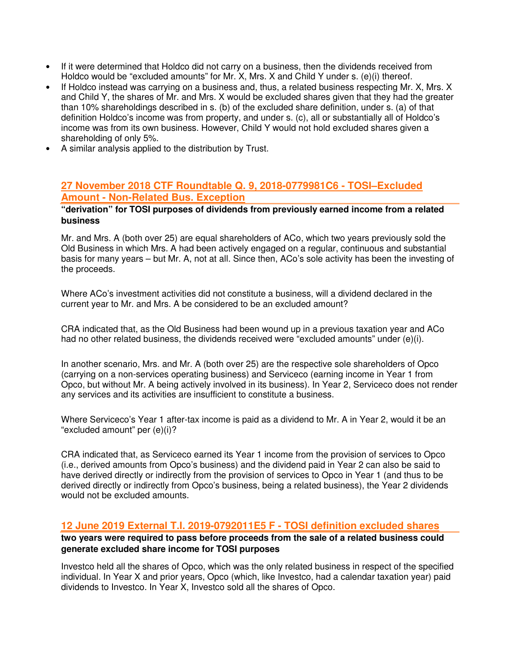- If it were determined that Holdco did not carry on a business, then the dividends received from Holdco would be "excluded amounts" for Mr. X, Mrs. X and Child Y under s. (e)(i) thereof.
- If Holdco instead was carrying on a business and, thus, a related business respecting Mr. X, Mrs. X and Child Y, the shares of Mr. and Mrs. X would be excluded shares given that they had the greater than 10% shareholdings described in s. (b) of the excluded share definition, under s. (a) of that definition Holdco's income was from property, and under s. (c), all or substantially all of Holdco's income was from its own business. However, Child Y would not hold excluded shares given a shareholding of only 5%.
- A similar analysis applied to the distribution by Trust.

## **27 November 2018 CTF Roundtable Q. 9, 2018-0779981C6 - TOSI–Excluded Amount - Non-Related Bus. Exception**

### **"derivation" for TOSI purposes of dividends from previously earned income from a related business**

Mr. and Mrs. A (both over 25) are equal shareholders of ACo, which two years previously sold the Old Business in which Mrs. A had been actively engaged on a regular, continuous and substantial basis for many years – but Mr. A, not at all. Since then, ACo's sole activity has been the investing of the proceeds.

Where ACo's investment activities did not constitute a business, will a dividend declared in the current year to Mr. and Mrs. A be considered to be an excluded amount?

CRA indicated that, as the Old Business had been wound up in a previous taxation year and ACo had no other related business, the dividends received were "excluded amounts" under (e)(i).

In another scenario, Mrs. and Mr. A (both over 25) are the respective sole shareholders of Opco (carrying on a non-services operating business) and Serviceco (earning income in Year 1 from Opco, but without Mr. A being actively involved in its business). In Year 2, Serviceco does not render any services and its activities are insufficient to constitute a business.

Where Serviceco's Year 1 after-tax income is paid as a dividend to Mr. A in Year 2, would it be an "excluded amount" per (e)(i)?

CRA indicated that, as Serviceco earned its Year 1 income from the provision of services to Opco (i.e., derived amounts from Opco's business) and the dividend paid in Year 2 can also be said to have derived directly or indirectly from the provision of services to Opco in Year 1 (and thus to be derived directly or indirectly from Opco's business, being a related business), the Year 2 dividends would not be excluded amounts.

### **12 June 2019 External T.I. 2019-0792011E5 F - TOSI definition excluded shares**

**two years were required to pass before proceeds from the sale of a related business could generate excluded share income for TOSI purposes** 

Investco held all the shares of Opco, which was the only related business in respect of the specified individual. In Year X and prior years, Opco (which, like Investco, had a calendar taxation year) paid dividends to Investco. In Year X, Investco sold all the shares of Opco.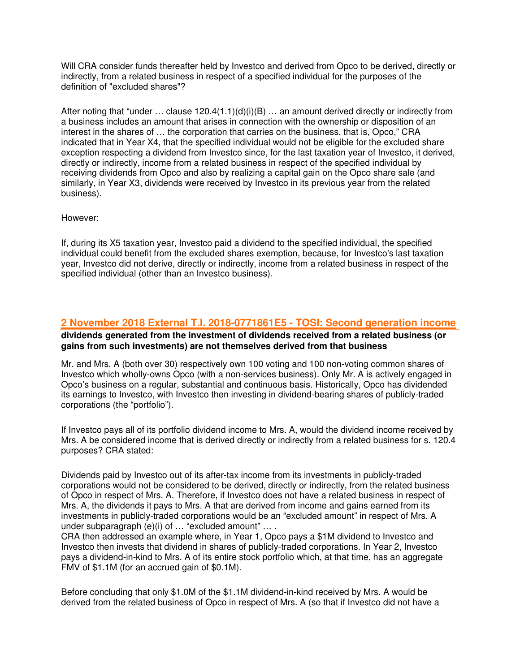Will CRA consider funds thereafter held by Investco and derived from Opco to be derived, directly or indirectly, from a related business in respect of a specified individual for the purposes of the definition of "excluded shares"?

After noting that "under ... clause 120.4(1.1)(d)(i)(B) ... an amount derived directly or indirectly from a business includes an amount that arises in connection with the ownership or disposition of an interest in the shares of … the corporation that carries on the business, that is, Opco," CRA indicated that in Year X4, that the specified individual would not be eligible for the excluded share exception respecting a dividend from Investco since, for the last taxation year of Investco, it derived, directly or indirectly, income from a related business in respect of the specified individual by receiving dividends from Opco and also by realizing a capital gain on the Opco share sale (and similarly, in Year X3, dividends were received by Investco in its previous year from the related business).

However:

If, during its X5 taxation year, Investco paid a dividend to the specified individual, the specified individual could benefit from the excluded shares exemption, because, for Investco's last taxation year, Investco did not derive, directly or indirectly, income from a related business in respect of the specified individual (other than an Investco business).

### **2 November 2018 External T.I. 2018-0771861E5 - TOSI: Second generation income dividends generated from the investment of dividends received from a related business (or gains from such investments) are not themselves derived from that business**

Mr. and Mrs. A (both over 30) respectively own 100 voting and 100 non-voting common shares of Investco which wholly-owns Opco (with a non-services business). Only Mr. A is actively engaged in Opco's business on a regular, substantial and continuous basis. Historically, Opco has dividended its earnings to Investco, with Investco then investing in dividend-bearing shares of publicly-traded corporations (the "portfolio").

If Investco pays all of its portfolio dividend income to Mrs. A, would the dividend income received by Mrs. A be considered income that is derived directly or indirectly from a related business for s. 120.4 purposes? CRA stated:

Dividends paid by Investco out of its after-tax income from its investments in publicly-traded corporations would not be considered to be derived, directly or indirectly, from the related business of Opco in respect of Mrs. A. Therefore, if Investco does not have a related business in respect of Mrs. A, the dividends it pays to Mrs. A that are derived from income and gains earned from its investments in publicly-traded corporations would be an "excluded amount" in respect of Mrs. A under subparagraph (e)(i) of … "excluded amount" … .

CRA then addressed an example where, in Year 1, Opco pays a \$1M dividend to Investco and Investco then invests that dividend in shares of publicly-traded corporations. In Year 2, Investco pays a dividend-in-kind to Mrs. A of its entire stock portfolio which, at that time, has an aggregate FMV of \$1.1M (for an accrued gain of \$0.1M).

Before concluding that only \$1.0M of the \$1.1M dividend-in-kind received by Mrs. A would be derived from the related business of Opco in respect of Mrs. A (so that if Investco did not have a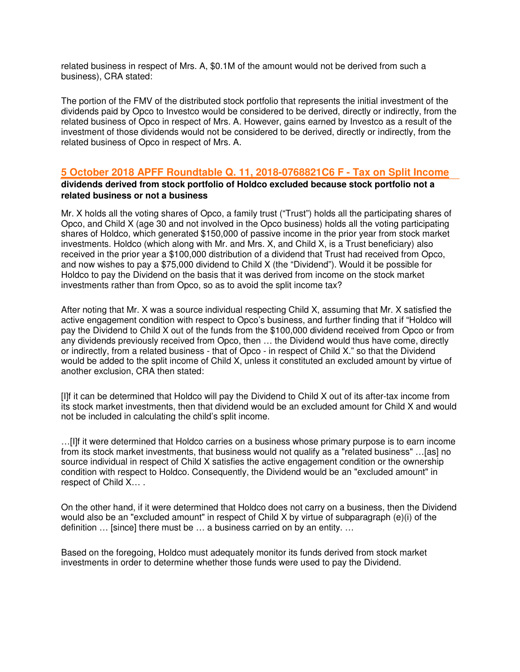related business in respect of Mrs. A, \$0.1M of the amount would not be derived from such a business), CRA stated:

The portion of the FMV of the distributed stock portfolio that represents the initial investment of the dividends paid by Opco to Investco would be considered to be derived, directly or indirectly, from the related business of Opco in respect of Mrs. A. However, gains earned by Investco as a result of the investment of those dividends would not be considered to be derived, directly or indirectly, from the related business of Opco in respect of Mrs. A.

## **5 October 2018 APFF Roundtable Q. 11, 2018-0768821C6 F - Tax on Split Income**

### **dividends derived from stock portfolio of Holdco excluded because stock portfolio not a related business or not a business**

Mr. X holds all the voting shares of Opco, a family trust ("Trust") holds all the participating shares of Opco, and Child X (age 30 and not involved in the Opco business) holds all the voting participating shares of Holdco, which generated \$150,000 of passive income in the prior year from stock market investments. Holdco (which along with Mr. and Mrs. X, and Child X, is a Trust beneficiary) also received in the prior year a \$100,000 distribution of a dividend that Trust had received from Opco, and now wishes to pay a \$75,000 dividend to Child X (the "Dividend"). Would it be possible for Holdco to pay the Dividend on the basis that it was derived from income on the stock market investments rather than from Opco, so as to avoid the split income tax?

After noting that Mr. X was a source individual respecting Child X, assuming that Mr. X satisfied the active engagement condition with respect to Opco's business, and further finding that if "Holdco will pay the Dividend to Child X out of the funds from the \$100,000 dividend received from Opco or from any dividends previously received from Opco, then … the Dividend would thus have come, directly or indirectly, from a related business - that of Opco - in respect of Child X." so that the Dividend would be added to the split income of Child X, unless it constituted an excluded amount by virtue of another exclusion, CRA then stated:

[I]f it can be determined that Holdco will pay the Dividend to Child X out of its after-tax income from its stock market investments, then that dividend would be an excluded amount for Child X and would not be included in calculating the child's split income.

…[I]f it were determined that Holdco carries on a business whose primary purpose is to earn income from its stock market investments, that business would not qualify as a "related business" …[as] no source individual in respect of Child X satisfies the active engagement condition or the ownership condition with respect to Holdco. Consequently, the Dividend would be an "excluded amount" in respect of Child X… .

On the other hand, if it were determined that Holdco does not carry on a business, then the Dividend would also be an "excluded amount" in respect of Child X by virtue of subparagraph (e)(i) of the definition … [since] there must be … a business carried on by an entity. …

Based on the foregoing, Holdco must adequately monitor its funds derived from stock market investments in order to determine whether those funds were used to pay the Dividend.